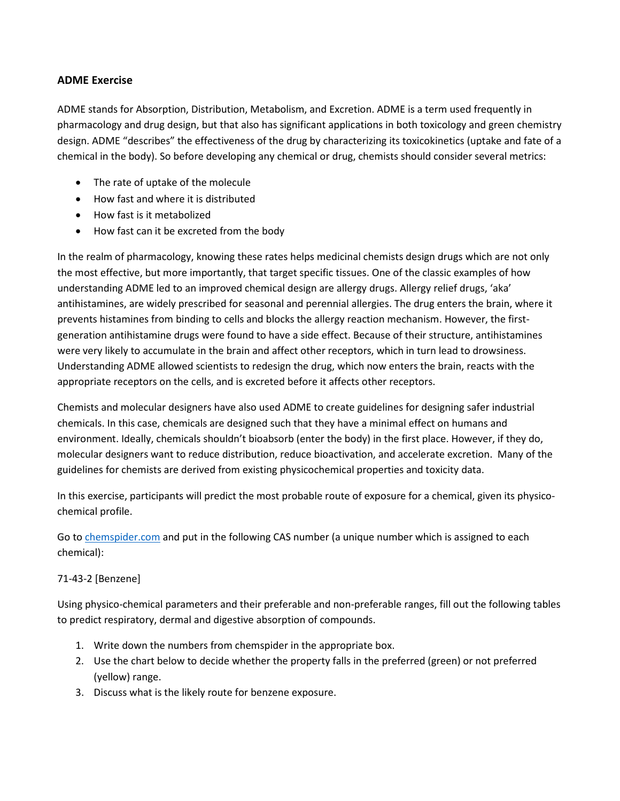### **ADME Exercise**

ADME stands for Absorption, Distribution, Metabolism, and Excretion. ADME is a term used frequently in pharmacology and drug design, but that also has significant applications in both toxicology and green chemistry design. ADME "describes" the effectiveness of the drug by characterizing its toxicokinetics (uptake and fate of a chemical in the body). So before developing any chemical or drug, chemists should consider several metrics:

- The rate of uptake of the molecule
- How fast and where it is distributed
- How fast is it metabolized
- How fast can it be excreted from the body

In the realm of pharmacology, knowing these rates helps medicinal chemists design drugs which are not only the most effective, but more importantly, that target specific tissues. One of the classic examples of how understanding ADME led to an improved chemical design are allergy drugs. Allergy relief drugs, 'aka' antihistamines, are widely prescribed for seasonal and perennial allergies. The drug enters the brain, where it prevents histamines from binding to cells and blocks the allergy reaction mechanism. However, the firstgeneration antihistamine drugs were found to have a side effect. Because of their structure, antihistamines were very likely to accumulate in the brain and affect other receptors, which in turn lead to drowsiness. Understanding ADME allowed scientists to redesign the drug, which now enters the brain, reacts with the appropriate receptors on the cells, and is excreted before it affects other receptors.

Chemists and molecular designers have also used ADME to create guidelines for designing safer industrial chemicals. In this case, chemicals are designed such that they have a minimal effect on humans and environment. Ideally, chemicals shouldn't bioabsorb (enter the body) in the first place. However, if they do, molecular designers want to reduce distribution, reduce bioactivation, and accelerate excretion. Many of the guidelines for chemists are derived from existing physicochemical properties and toxicity data.

In this exercise, participants will predict the most probable route of exposure for a chemical, given its physicochemical profile.

Go to [chemspider.com](http://www.chemspider.com/) and put in the following CAS number (a unique number which is assigned to each chemical):

#### 71-43-2 [Benzene]

Using physico-chemical parameters and their preferable and non-preferable ranges, fill out the following tables to predict respiratory, dermal and digestive absorption of compounds.

- 1. Write down the numbers from chemspider in the appropriate box.
- 2. Use the chart below to decide whether the property falls in the preferred (green) or not preferred (yellow) range.
- 3. Discuss what is the likely route for benzene exposure.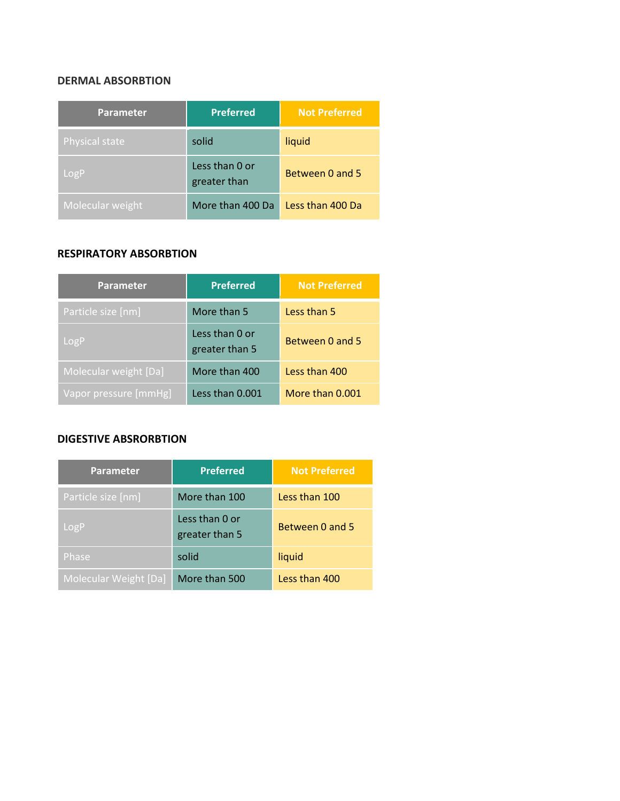# **DERMAL ABSORBTION**

| <b>Parameter</b>      | <b>Preferred</b>               | <b>Not Preferred</b> |
|-----------------------|--------------------------------|----------------------|
| <b>Physical state</b> | solid                          | liquid               |
| LogP                  | Less than 0 or<br>greater than | Between 0 and 5      |
| Molecular weight      | More than 400 Da               | Less than 400 Da     |

#### **RESPIRATORY ABSORBTION**

| <b>Parameter</b>      | <b>Preferred</b>                 | <b>Not Preferred</b> |
|-----------------------|----------------------------------|----------------------|
| Particle size [nm]    | More than 5                      | Less than 5          |
| LogP                  | Less than 0 or<br>greater than 5 | Between 0 and 5      |
| Molecular weight [Da] | More than 400                    | Less than 400        |
| Vapor pressure [mmHg] | Less than 0.001                  | More than 0.001      |

#### **DIGESTIVE ABSRORBTION**

| <b>Parameter</b>      | <b>Preferred</b>                 | <b>Not Preferred</b> |
|-----------------------|----------------------------------|----------------------|
| Particle size [nm]    | More than 100                    | Less than 100        |
| LogP                  | Less than 0 or<br>greater than 5 | Between 0 and 5      |
| Phase                 | solid                            | liquid               |
| Molecular Weight [Da] | More than 500                    | Less than 400        |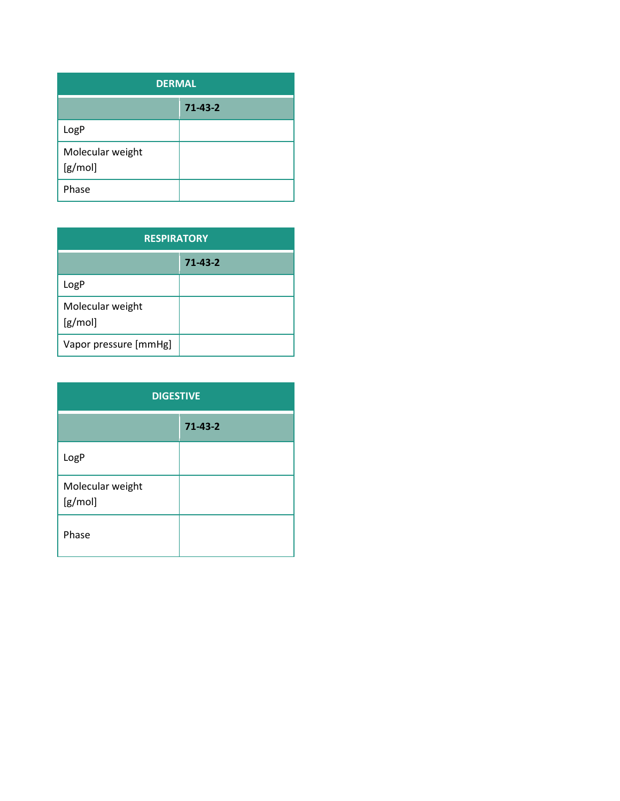| <b>DERMAL</b>               |               |
|-----------------------------|---------------|
|                             | $71 - 43 - 2$ |
| LogP                        |               |
| Molecular weight<br>[g/mol] |               |
| Phase                       |               |

| <b>RESPIRATORY</b>          |               |  |
|-----------------------------|---------------|--|
|                             | $71 - 43 - 2$ |  |
| LogP                        |               |  |
| Molecular weight<br>[g/mol] |               |  |
| Vapor pressure [mmHg]       |               |  |

| <b>DIGESTIVE</b>            |               |  |
|-----------------------------|---------------|--|
|                             | $71 - 43 - 2$ |  |
| LogP                        |               |  |
| Molecular weight<br>[g/mol] |               |  |
| Phase                       |               |  |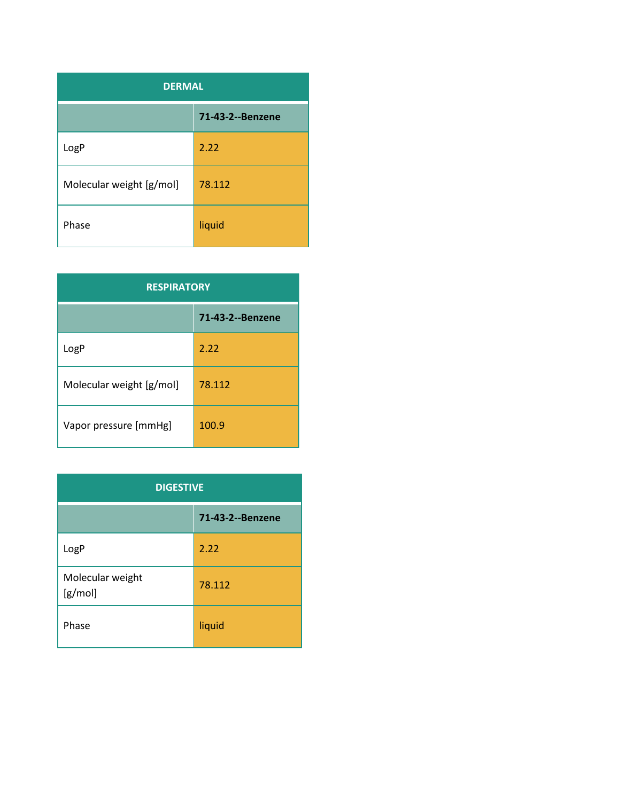| <b>DERMAL</b>            |                  |  |
|--------------------------|------------------|--|
|                          | 71-43-2--Benzene |  |
| LogP                     | 2.22             |  |
| Molecular weight [g/mol] | 78.112           |  |
| Phase                    | liquid           |  |

| <b>RESPIRATORY</b>       |                  |  |
|--------------------------|------------------|--|
|                          | 71-43-2--Benzene |  |
| LogP                     | 2.22             |  |
| Molecular weight [g/mol] | 78.112           |  |
| Vapor pressure [mmHg]    | 100.9            |  |

| <b>DIGESTIVE</b>            |                  |
|-----------------------------|------------------|
|                             | 71-43-2--Benzene |
| LogP                        | 2.22             |
| Molecular weight<br>[g/mol] | 78.112           |
| Phase                       | liquid           |